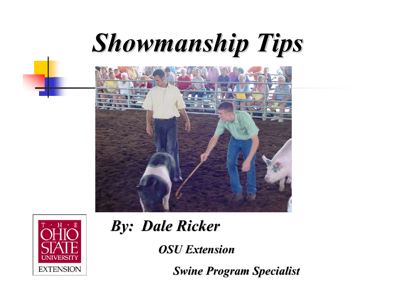# *Showmanship Tips Showmanship Tips*





*By: Dale Ricker By: Dale Ricker*

*OSU Extension OSU Extension*

**Swine Program Specialist**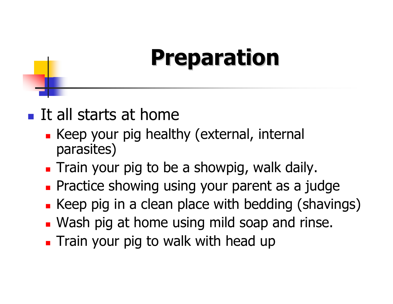## **Preparation Preparation**

#### **It all starts at home**

- **Keep your pig healthy (external, internal** parasites)
- **Train your pig to be a showpig, walk daily.**
- **Practice showing using your parent as a judge**
- **Example 2 Keep pig in a clean place with bedding (shavings)**
- **Wash pig at home using mild soap and rinse.**
- **Train your pig to walk with head up**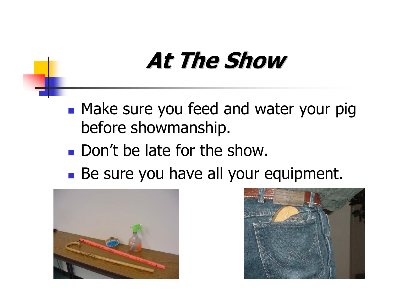## **At The Show At The Show**

- **Make sure you feed and water your pig** before showmanship.
- **Don't be late for the show.**
- Be sure you have all your equipment.



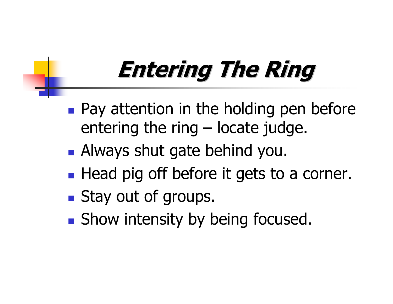## **Entering The Ring Entering The Ring**

- **Pay attention in the holding pen before** entering the ring – locate judge.
- **Always shut gate behind you.**
- **Head pig off before it gets to a corner.**
- **Stay out of groups.**
- **Show intensity by being focused.**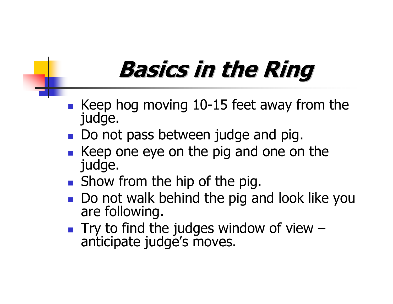## **Basics in the Ring Basics in the Ring**

- F Keep hog moving 10-15 feet away from the judge.
- Do not pass between judge and pig.
- F Keep one eye on the pig and one on the judge.
- **Show from the hip of the pig.**
- F Do not walk behind the pig and look like you are following.
- $\mathbb{R}^n$ Try to find the judges window of view – anticipate judge's moves.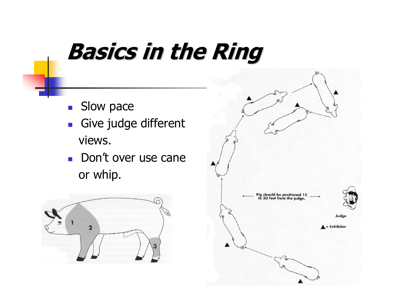#### **Basics in the Ring Basics in the Ring**

- $\mathcal{L}_{\text{max}}$ Slow pace
- $\mathcal{L}_{\mathcal{A}}$  Give judge different views.
- Don't over use cane or whip.



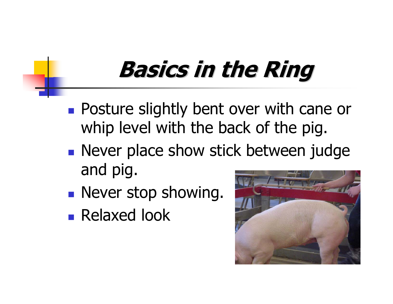## **Basics in the Ring Basics in the Ring**

- **Posture slightly bent over with cane or** whip level with the back of the pig.
- **Never place show stick between judge** and pig.
- **Never stop showing.**
- **Relaxed look**

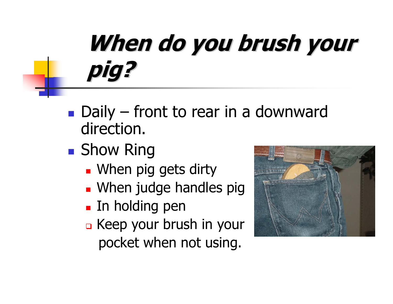## **When do you brush your pig?**

- **Daily front to rear in a downward** direction.
- Show Ring
	- **.** When pig gets dirty
	- **Nhen judge handles piguangle**
	- **In holding pen**
	- Keep your brush in your pocket when not using.

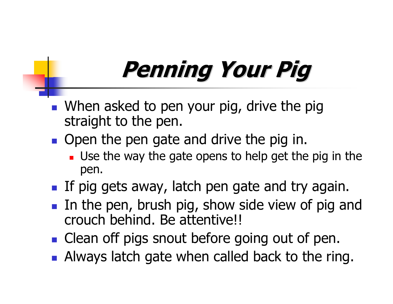## **Penning Your Pig Penning Your Pig**

- **Notaklary 19 Sepand Tendon Sepand Tendon Sepand Tendon Sepand Tendon Sepand Tendon Sepand Tendon Sepand Tendon Sepand Tendon Sepand Tendon Sepand Tendon Sepand Tendon Sepand Tendon Sepand Tendon Sepand Tendon Sepand Tendo** straight to the pen.
- **Open the pen gate and drive the pig in.** 
	- **Use the way the gate opens to help get the pig in the** pen.
- **If pig gets away, latch pen gate and try again.**
- **IF In the pen, brush pig, show side view of pig and** crouch behind. Be attentive!!
- **Clean off pigs snout before going out of pen.**
- **Always latch gate when called back to the ring.**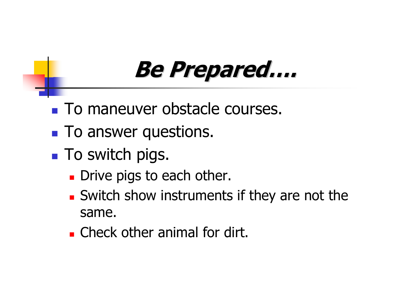### **Be Prepared…. Be Prepared….**

- **To maneuver obstacle courses.**
- **To answer questions.**
- **To switch pigs.** 
	- **Drive pigs to each other.**
	- **Switch show instruments if they are not the** same.
	- **Example Check other animal for dirt.**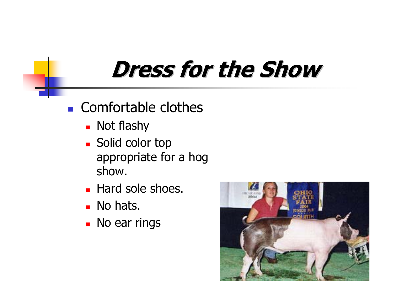#### **Dress for the Show Dress for the Show**

#### **Comfortable clothes**

- **Not flashy**
- **Solid color top** appropriate for a hog show.
- **Hard sole shoes.**
- **No hats.**
- **No ear rings**